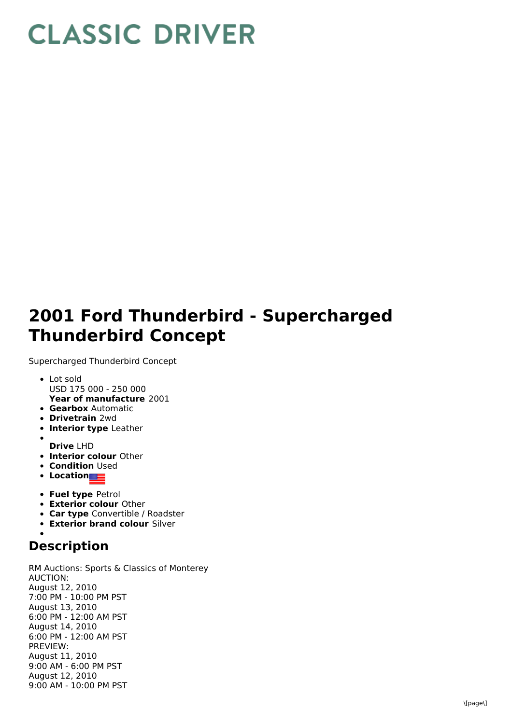## **CLASSIC DRIVER**

## **2001 Ford Thunderbird - Supercharged Thunderbird Concept**

Supercharged Thunderbird Concept

- **Year of manufacture** 2001 Lot sold USD 175 000 - 250 000
- **Gearbox** Automatic
- **Drivetrain** 2wd
- **Interior type** Leather
- **Drive** LHD
- **Interior colour** Other
- **Condition Used**
- **•** Location
- **Fuel type** Petrol
- **Exterior colour** Other
- **Car type** Convertible / Roadster
- **Exterior brand colour** Silver

## **Description**

RM Auctions: Sports & Classics of Monterey AUCTION: August 12, 2010 7:00 PM - 10:00 PM PST August 13, 2010 6:00 PM - 12:00 AM PST August 14, 2010 6:00 PM - 12:00 AM PST PREVIEW: August 11, 2010 9:00 AM - 6:00 PM PST August 12, 2010 9:00 AM - 10:00 PM PST